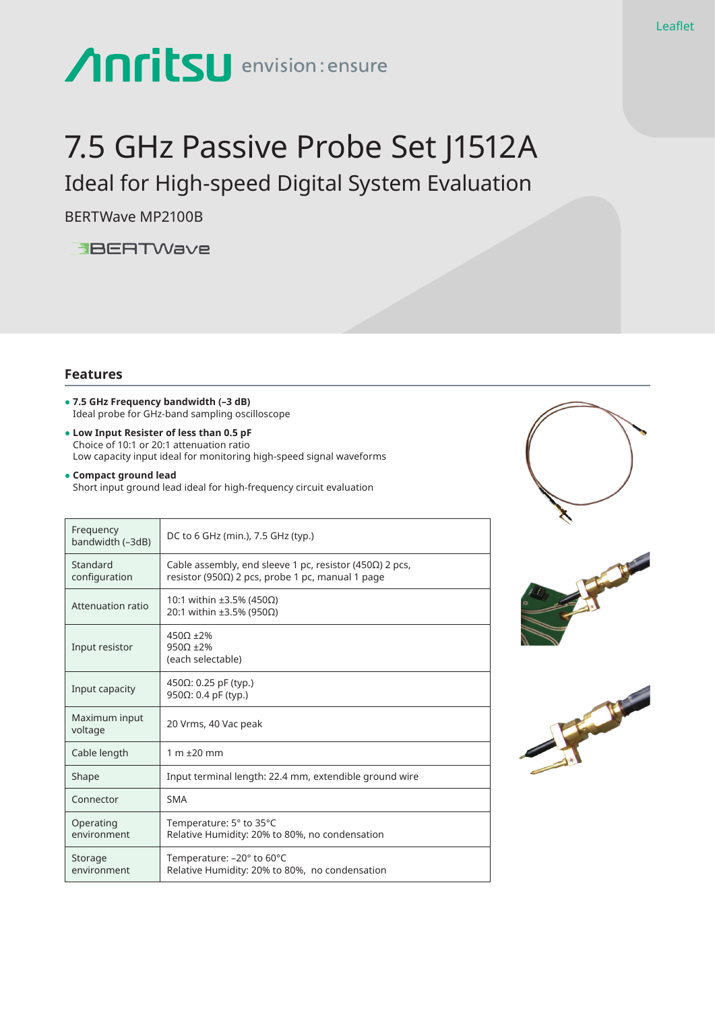# Anritsu envision: ensure

# 7.5 GHz Passive Probe Set J1512A

Ideal for High-speed Digital System Evaluation

BERTWave MP2100B

**EBERTWave** 

## **Features**

- **● 7.5 GHz Frequency bandwidth (–3 dB)** Ideal probe for GHz-band sampling oscilloscope
- **Low Input Resister of less than 0.5 pF** Choice of 10:1 or 20:1 attenuation ratio Low capacity input ideal for monitoring high-speed signal waveforms

#### **● Compact ground lead** Short input ground lead ideal for high-frequency circuit evaluation

| Frequency<br>bandwidth (-3dB) | DC to 6 GHz (min.), 7.5 GHz (typ.)                                                                                   |
|-------------------------------|----------------------------------------------------------------------------------------------------------------------|
| Standard<br>configuration     | Cable assembly, end sleeve 1 pc, resistor (450 $\Omega$ ) 2 pcs,<br>resistor (950Ω) 2 pcs, probe 1 pc, manual 1 page |
| Attenuation ratio             | 10:1 within ±3.5% (450Ω)<br>20:1 within ±3.5% (950Ω)                                                                 |
| Input resistor                | $450\Omega \pm 2\%$<br>$950\Omega \pm 2\%$<br>(each selectable)                                                      |
| Input capacity                | 450Ω: 0.25 pF (typ.)<br>950Ω: 0.4 pF (typ.)                                                                          |
| Maximum input<br>voltage      | 20 Vrms, 40 Vac peak                                                                                                 |
| Cable length                  | $1 m \pm 20 mm$                                                                                                      |
| Shape                         | Input terminal length: 22.4 mm, extendible ground wire                                                               |
| Connector                     | <b>SMA</b>                                                                                                           |
| Operating<br>environment      | Temperature: 5° to 35°C<br>Relative Humidity: 20% to 80%, no condensation                                            |
| Storage<br>environment        | Temperature: - 20° to 60°C<br>Relative Humidity: 20% to 80%, no condensation                                         |